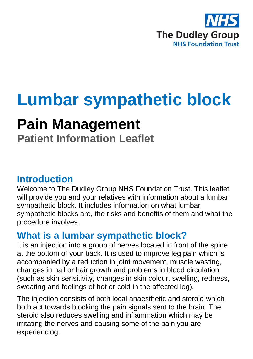

# **Lumbar sympathetic block**

## **Pain Management**

**Patient Information Leaflet**

### **Introduction**

Welcome to The Dudley Group NHS Foundation Trust. This leaflet will provide you and your relatives with information about a lumbar sympathetic block. It includes information on what lumbar sympathetic blocks are, the risks and benefits of them and what the procedure involves.

## **What is a lumbar sympathetic block?**

It is an injection into a group of nerves located in front of the spine at the bottom of your back. It is used to improve leg pain which is accompanied by a reduction in joint movement, muscle wasting, changes in nail or hair growth and problems in blood circulation (such as skin sensitivity, changes in skin colour, swelling, redness, sweating and feelings of hot or cold in the affected leg).

The injection consists of both local anaesthetic and steroid which both act towards blocking the pain signals sent to the brain. The steroid also reduces swelling and inflammation which may be irritating the nerves and causing some of the pain you are experiencing.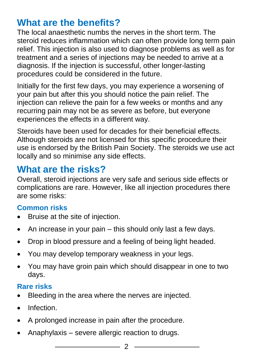## **What are the benefits?**

The local anaesthetic numbs the nerves in the short term. The steroid reduces inflammation which can often provide long term pain relief. This injection is also used to diagnose problems as well as for treatment and a series of injections may be needed to arrive at a diagnosis. If the injection is successful, other longer-lasting procedures could be considered in the future.

Initially for the first few days, you may experience a worsening of your pain but after this you should notice the pain relief. The injection can relieve the pain for a few weeks or months and any recurring pain may not be as severe as before, but everyone experiences the effects in a different way.

Steroids have been used for decades for their beneficial effects. Although steroids are not licensed for this specific procedure their use is endorsed by the British Pain Society. The steroids we use act locally and so minimise any side effects.

## **What are the risks?**

Overall, steroid injections are very safe and serious side effects or complications are rare. However, like all injection procedures there are some risks:

#### **Common risks**

- Bruise at the site of injection.
- $\bullet$  An increase in your pain this should only last a few days.
- Drop in blood pressure and a feeling of being light headed.
- You may develop temporary weakness in your legs.
- You may have groin pain which should disappear in one to two days.

#### **Rare risks**

- Bleeding in the area where the nerves are injected.
- **•** Infection
- A prolonged increase in pain after the procedure.
- Anaphylaxis severe allergic reaction to drugs.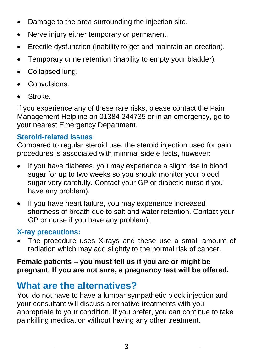- Damage to the area surrounding the injection site.
- Nerve injury either temporary or permanent.
- Erectile dysfunction (inability to get and maintain an erection).
- Temporary urine retention (inability to empty your bladder).
- Collapsed lung.
- Convulsions.
- Stroke.

If you experience any of these rare risks, please contact the Pain Management Helpline on 01384 244735 or in an emergency, go to your nearest Emergency Department.

#### **Steroid-related issues**

Compared to regular steroid use, the steroid injection used for pain procedures is associated with minimal side effects, however:

- If you have diabetes, you may experience a slight rise in blood sugar for up to two weeks so you should monitor your blood sugar very carefully. Contact your GP or diabetic nurse if you have any problem).
- If you have heart failure, you may experience increased shortness of breath due to salt and water retention. Contact your GP or nurse if you have any problem).

#### **X-ray precautions:**

 The procedure uses X-rays and these use a small amount of radiation which may add slightly to the normal risk of cancer.

#### **Female patients – you must tell us if you are or might be pregnant. If you are not sure, a pregnancy test will be offered.**

## **What are the alternatives?**

You do not have to have a lumbar sympathetic block injection and your consultant will discuss alternative treatments with you appropriate to your condition. If you prefer, you can continue to take painkilling medication without having any other treatment.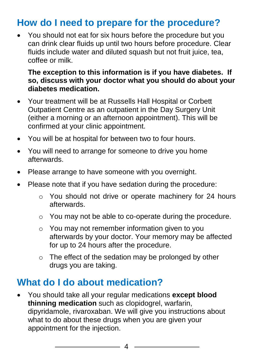## **How do I need to prepare for the procedure?**

 You should not eat for six hours before the procedure but you can drink clear fluids up until two hours before procedure. Clear fluids include water and diluted squash but not fruit juice, tea, coffee or milk.

#### **The exception to this information is if you have diabetes. If so, discuss with your doctor what you should do about your diabetes medication.**

- Your treatment will be at Russells Hall Hospital or Corbett Outpatient Centre as an outpatient in the Day Surgery Unit (either a morning or an afternoon appointment). This will be confirmed at your clinic appointment.
- You will be at hospital for between two to four hours.
- You will need to arrange for someone to drive you home afterwards.
- Please arrange to have someone with you overnight.
- Please note that if you have sedation during the procedure:
	- o You should not drive or operate machinery for 24 hours afterwards.
	- o You may not be able to co-operate during the procedure.
	- o You may not remember information given to you afterwards by your doctor. Your memory may be affected for up to 24 hours after the procedure.
	- o The effect of the sedation may be prolonged by other drugs you are taking.

## **What do I do about medication?**

 You should take all your regular medications **except blood thinning medication** such as clopidogrel, warfarin, dipyridamole, rivaroxaban. We will give you instructions about what to do about these drugs when you are given your appointment for the injection.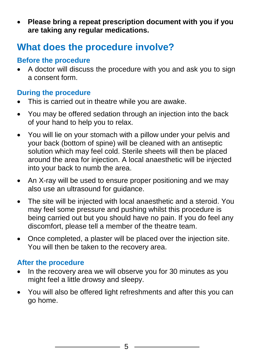**Please bring a repeat prescription document with you if you are taking any regular medications.**

## **What does the procedure involve?**

#### **Before the procedure**

 A doctor will discuss the procedure with you and ask you to sign a consent form.

#### **During the procedure**

- This is carried out in theatre while you are awake.
- You may be offered sedation through an injection into the back of your hand to help you to relax.
- You will lie on your stomach with a pillow under your pelvis and your back (bottom of spine) will be cleaned with an antiseptic solution which may feel cold. Sterile sheets will then be placed around the area for injection. A local anaesthetic will be injected into your back to numb the area.
- An X-ray will be used to ensure proper positioning and we may also use an ultrasound for guidance.
- The site will be injected with local anaesthetic and a steroid. You may feel some pressure and pushing whilst this procedure is being carried out but you should have no pain. If you do feel any discomfort, please tell a member of the theatre team.
- Once completed, a plaster will be placed over the injection site. You will then be taken to the recovery area.

#### **After the procedure**

- In the recovery area we will observe you for 30 minutes as you might feel a little drowsy and sleepy.
- You will also be offered light refreshments and after this you can go home.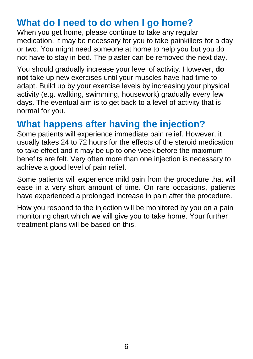## **What do I need to do when I go home?**

When you get home, please continue to take any regular medication. It may be necessary for you to take painkillers for a day or two. You might need someone at home to help you but you do not have to stay in bed. The plaster can be removed the next day.

You should gradually increase your level of activity. However, **do not** take up new exercises until your muscles have had time to adapt. Build up by your exercise levels by increasing your physical activity (e.g. walking, swimming, housework) gradually every few days. The eventual aim is to get back to a level of activity that is normal for you.

## **What happens after having the injection?**

Some patients will experience immediate pain relief. However, it usually takes 24 to 72 hours for the effects of the steroid medication to take effect and it may be up to one week before the maximum benefits are felt. Very often more than one injection is necessary to achieve a good level of pain relief.

Some patients will experience mild pain from the procedure that will ease in a very short amount of time. On rare occasions, patients have experienced a prolonged increase in pain after the procedure.

How you respond to the injection will be monitored by you on a pain monitoring chart which we will give you to take home. Your further treatment plans will be based on this.